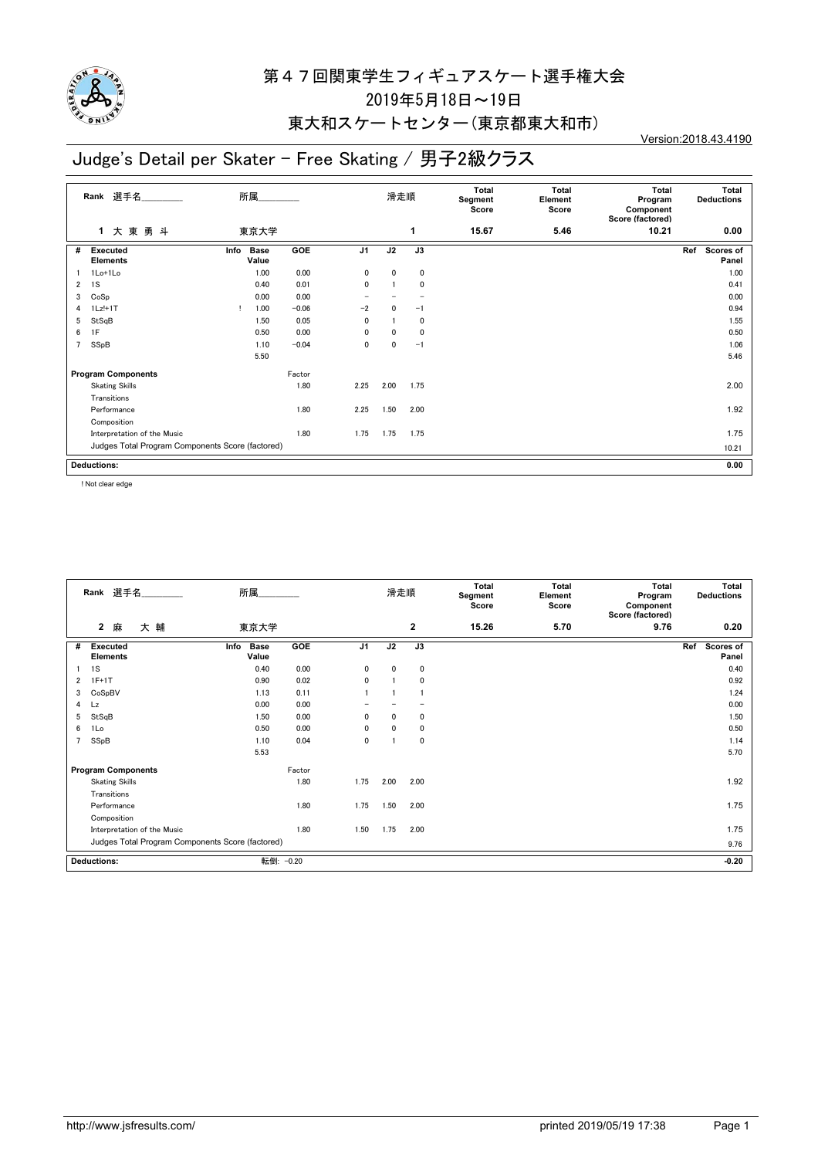

## 第47回関東学生フィギュアスケート選手権大会 2019年5月18日~19日

#### 東大和スケートセンター(東京都東大和市)

## Judge's Detail per Skater - Free Skating / 男子2級クラス

Version:2018.43.4190

| Rank 選手名                                         |                                    | 所属   |                      |         |                | 滑走順  |      |       | <b>Total</b><br>Element<br>Score | Total<br>Program<br>Component<br>Score (factored) | Total<br><b>Deductions</b> |
|--------------------------------------------------|------------------------------------|------|----------------------|---------|----------------|------|------|-------|----------------------------------|---------------------------------------------------|----------------------------|
|                                                  | 大東勇斗<br>$\mathbf 1$                |      | 東京大学                 |         |                |      | 1    | 15.67 | 5.46                             | 10.21                                             | 0.00                       |
| #                                                | <b>Executed</b><br><b>Elements</b> | Info | <b>Base</b><br>Value | GOE     | J <sub>1</sub> | J2   | J3   |       |                                  |                                                   | Ref<br>Scores of<br>Panel  |
|                                                  | 1Lo+1Lo                            |      | 1.00                 | 0.00    | 0              | 0    | 0    |       |                                  |                                                   | 1.00                       |
| $\overline{2}$                                   | 1S                                 |      | 0.40                 | 0.01    | 0              |      | 0    |       |                                  |                                                   | 0.41                       |
| 3                                                | CoSp                               |      | 0.00                 | 0.00    |                |      |      |       |                                  |                                                   | 0.00                       |
| 4                                                | 1Lz!+1T                            | т    | 1.00                 | $-0.06$ | $-2$           | 0    | $-1$ |       |                                  |                                                   | 0.94                       |
| 5                                                | StSqB                              |      | 1.50                 | 0.05    | 0              |      | 0    |       |                                  |                                                   | 1.55                       |
| 6                                                | 1F                                 |      | 0.50                 | 0.00    | 0              | 0    | 0    |       |                                  |                                                   | 0.50                       |
| $\overline{7}$                                   | SSpB                               |      | 1.10                 | $-0.04$ | 0              | 0    | $-1$ |       |                                  |                                                   | 1.06                       |
|                                                  |                                    |      | 5.50                 |         |                |      |      |       |                                  |                                                   | 5.46                       |
|                                                  | <b>Program Components</b>          |      |                      | Factor  |                |      |      |       |                                  |                                                   |                            |
|                                                  | <b>Skating Skills</b>              |      |                      | 1.80    | 2.25           | 2.00 | 1.75 |       |                                  |                                                   | 2.00                       |
|                                                  | Transitions                        |      |                      |         |                |      |      |       |                                  |                                                   |                            |
|                                                  | Performance                        |      |                      | 1.80    | 2.25           | 1.50 | 2.00 |       |                                  |                                                   | 1.92                       |
|                                                  | Composition                        |      |                      |         |                |      |      |       |                                  |                                                   |                            |
|                                                  | Interpretation of the Music        |      |                      | 1.80    | 1.75           | 1.75 | 1.75 |       |                                  |                                                   | 1.75                       |
| Judges Total Program Components Score (factored) |                                    |      |                      |         |                |      |      |       |                                  |                                                   | 10.21                      |
| <b>Deductions:</b>                               |                                    |      |                      |         |                |      |      |       |                                  |                                                   | 0.00                       |

! Not clear edge

| Score (factored)<br>$\mathbf{2}$<br>大輔<br>15.26<br>5.70<br>9.76<br>$\mathbf{2}$<br>麻<br>東京大学                 | 0.20                      |
|--------------------------------------------------------------------------------------------------------------|---------------------------|
|                                                                                                              |                           |
| J <sub>1</sub><br>J2<br>GOE<br>J3<br><b>Base</b><br><b>Executed</b><br>#<br>Info<br><b>Elements</b><br>Value | Scores of<br>Ref<br>Panel |
| 0.00<br>1S<br>0.40<br>$\mathbf{0}$<br>$\mathbf{0}$<br>0                                                      | 0.40                      |
| 0.02<br>$1F+1T$<br>0.90<br>$\mathbf{0}$<br>0<br>2                                                            | 0.92                      |
| 0.11<br>CoSpBV<br>1.13<br>3                                                                                  | 1.24                      |
| 0.00<br>0.00<br>Lz<br>4                                                                                      | 0.00                      |
| StSqB<br>0.00<br>1.50<br>$\mathbf{0}$<br>$\mathbf{0}$<br>0<br>5                                              | 1.50                      |
| 0.00<br>1Lo<br>0.50<br>0<br>0<br>0<br>6                                                                      | 0.50                      |
| SSpB<br>0.04<br>1.10<br>$\mathbf{0}$<br>0                                                                    | 1.14                      |
| 5.53                                                                                                         | 5.70                      |
| Factor<br><b>Program Components</b>                                                                          |                           |
| 1.80<br>1.75<br>2.00<br><b>Skating Skills</b><br>2.00                                                        | 1.92                      |
| Transitions                                                                                                  |                           |
| 1.80<br>1.75<br>1.50<br>2.00<br>Performance                                                                  | 1.75                      |
| Composition                                                                                                  |                           |
| 1.80<br>1.75<br>Interpretation of the Music<br>1.50<br>2.00                                                  | 1.75                      |
| Judges Total Program Components Score (factored)                                                             | 9.76                      |
| 転倒: -0.20<br><b>Deductions:</b>                                                                              | $-0.20$                   |